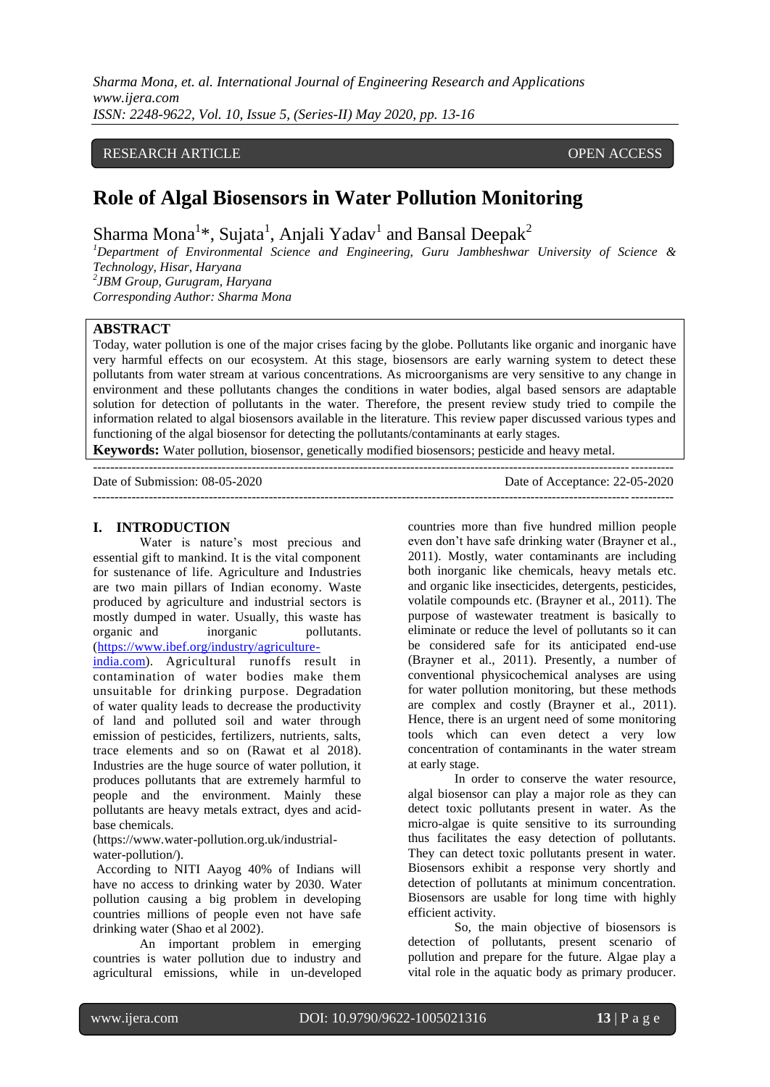*Sharma Mona, et. al. International Journal of Engineering Research and Applications www.ijera.com ISSN: 2248-9622, Vol. 10, Issue 5, (Series-II) May 2020, pp. 13-16*

### RESEARCH ARTICLE **CONSERVERS** OPEN ACCESS

# **Role of Algal Biosensors in Water Pollution Monitoring**

Sharma Mona<sup>1\*</sup>, Sujata<sup>1</sup>, Anjali Yadav<sup>1</sup> and Bansal Deepak<sup>2</sup>

*<sup>1</sup>Department of Environmental Science and Engineering, Guru Jambheshwar University of Science & Technology, Hisar, Haryana 2 JBM Group, Gurugram, Haryana*

*Corresponding Author: Sharma Mona*

### **ABSTRACT**

Today, water pollution is one of the major crises facing by the globe. Pollutants like organic and inorganic have very harmful effects on our ecosystem. At this stage, biosensors are early warning system to detect these pollutants from water stream at various concentrations. As microorganisms are very sensitive to any change in environment and these pollutants changes the conditions in water bodies, algal based sensors are adaptable solution for detection of pollutants in the water. Therefore, the present review study tried to compile the information related to algal biosensors available in the literature. This review paper discussed various types and functioning of the algal biosensor for detecting the pollutants/contaminants at early stages.

**Keywords:** Water pollution, biosensor, genetically modified biosensors; pesticide and heavy metal.

| Date of Submission: 08-05-2020 | Date of Acceptance: 22-05-2020 |
|--------------------------------|--------------------------------|
|                                |                                |

#### **I. INTRODUCTION**

Water is nature's most precious and essential gift to mankind. It is the vital component for sustenance of life. Agriculture and Industries are two main pillars of Indian economy. Waste produced by agriculture and industrial sectors is mostly dumped in water. Usually, this waste has<br>organic and inorganic pollutants. organic and inorganic [\(https://www.ibef.org/industry/agriculture-](https://www.ibef.org/industry/agriculture-india.com)

[india.com\)](https://www.ibef.org/industry/agriculture-india.com). Agricultural runoffs result in contamination of water bodies make them unsuitable for drinking purpose. Degradation of water quality leads to decrease the productivity of land and polluted soil and water through emission of pesticides, fertilizers, nutrients, salts, trace elements and so on (Rawat et al 2018). Industries are the huge source of water pollution, it produces pollutants that are extremely harmful to people and the environment. Mainly these pollutants are heavy metals extract, dyes and acidbase chemicals.

[\(https://www.water-pollution.org.uk/industrial](https://www.water-pollution.org.uk/industrial-water-pollution/)[water-pollution/\)](https://www.water-pollution.org.uk/industrial-water-pollution/).

According to NITI Aayog 40% of Indians will have no access to drinking water by 2030. Water pollution causing a big problem in developing countries millions of people even not have safe drinking water (Shao et al 2002).

An important problem in emerging countries is water pollution due to industry and agricultural emissions, while in un-developed countries more than five hundred million people even don't have safe drinking water (Brayner et al., 2011). Mostly, water contaminants are including both inorganic like chemicals, heavy metals etc. and organic like insecticides, detergents, pesticides, volatile compounds etc. (Brayner et al., 2011). The purpose of wastewater treatment is basically to eliminate or reduce the level of pollutants so it can be considered safe for its anticipated end-use (Brayner et al., 2011). Presently, a number of conventional physicochemical analyses are using for water pollution monitoring, but these methods are complex and costly (Brayner et al., 2011). Hence, there is an urgent need of some monitoring tools which can even detect a very low concentration of contaminants in the water stream at early stage.

In order to conserve the water resource, algal biosensor can play a major role as they can detect toxic pollutants present in water. As the micro-algae is quite sensitive to its surrounding thus facilitates the easy detection of pollutants. They can detect toxic pollutants present in water. Biosensors exhibit a response very shortly and detection of pollutants at minimum concentration. Biosensors are usable for long time with highly efficient activity.

So, the main objective of biosensors is detection of pollutants, present scenario of pollution and prepare for the future. Algae play a vital role in the aquatic body as primary producer.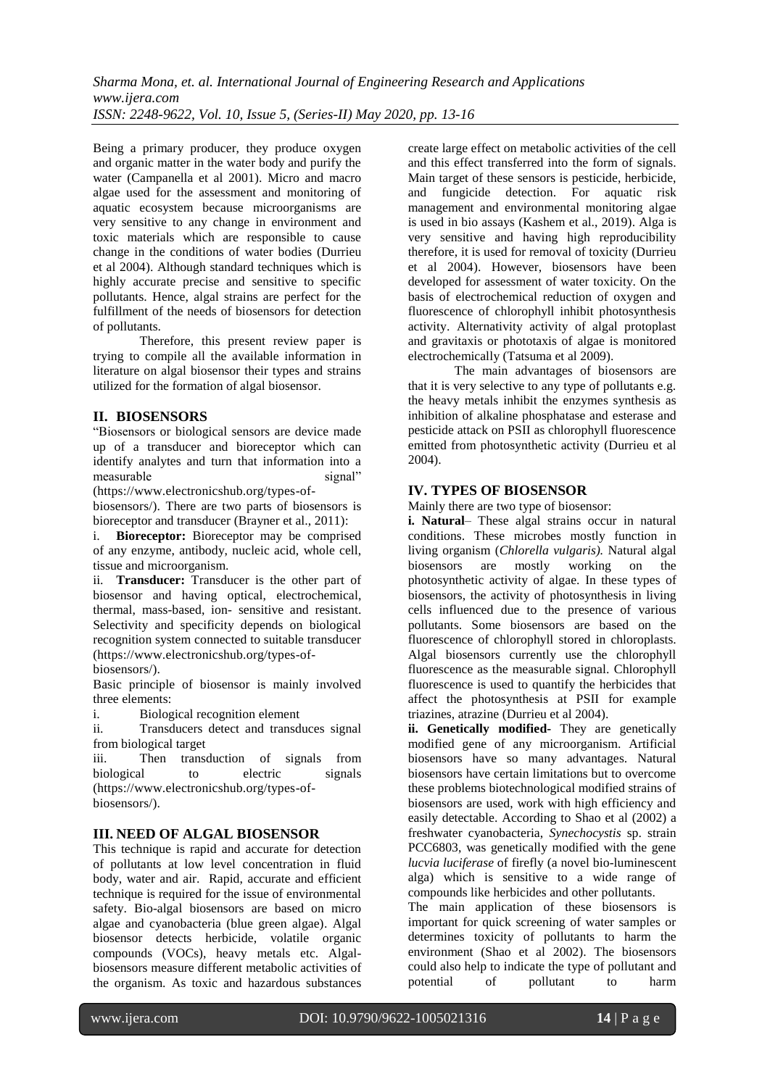Being a primary producer, they produce oxygen and organic matter in the water body and purify the water (Campanella et al 2001). Micro and macro algae used for the assessment and monitoring of aquatic ecosystem because microorganisms are very sensitive to any change in environment and toxic materials which are responsible to cause change in the conditions of water bodies (Durrieu et al 2004). Although standard techniques which is highly accurate precise and sensitive to specific pollutants. Hence, algal strains are perfect for the fulfillment of the needs of biosensors for detection of pollutants.

Therefore, this present review paper is trying to compile all the available information in literature on algal biosensor their types and strains utilized for the formation of algal biosensor.

# **II. BIOSENSORS**

"Biosensors or biological sensors are device made up of a transducer and bioreceptor which can identify analytes and turn that information into a measurable signal" measurable

[\(https://www.electronicshub.org/types-of](https://www.electronicshub.org/types-of-biosensors/)[biosensors/\)](https://www.electronicshub.org/types-of-biosensors/). There are two parts of biosensors is bioreceptor and transducer (Brayner et al., 2011):

i. **Bioreceptor:** Bioreceptor may be comprised of any enzyme, antibody, nucleic acid, whole cell, tissue and microorganism.

ii. **Transducer:** Transducer is the other part of biosensor and having optical, electrochemical, thermal, mass-based, ion- sensitive and resistant. Selectivity and specificity depends on biological recognition system connected to suitable transducer [\(https://www.electronicshub.org/types-of-](https://www.electronicshub.org/types-of-biosensors/)

[biosensors/\)](https://www.electronicshub.org/types-of-biosensors/).

Basic principle of biosensor is mainly involved three elements:

i. Biological recognition element

ii. Transducers detect and transduces signal from biological target

iii. Then transduction of signals from biological to electric signals [\(https://www.electronicshub.org/types-of](https://www.electronicshub.org/types-of-biosensors/)[biosensors/\)](https://www.electronicshub.org/types-of-biosensors/).

# **III. NEED OF ALGAL BIOSENSOR**

This technique is rapid and accurate for detection of pollutants at low level concentration in fluid body, water and air. Rapid, accurate and efficient technique is required for the issue of environmental safety. Bio-algal biosensors are based on micro algae and cyanobacteria (blue green algae). Algal biosensor detects herbicide, volatile organic compounds (VOCs), heavy metals etc. Algalbiosensors measure different metabolic activities of the organism. As toxic and hazardous substances create large effect on metabolic activities of the cell and this effect transferred into the form of signals. Main target of these sensors is pesticide, herbicide, and fungicide detection. For aquatic risk management and environmental monitoring algae is used in bio assays (Kashem et al., 2019). Alga is very sensitive and having high reproducibility therefore, it is used for removal of toxicity (Durrieu et al 2004). However, biosensors have been developed for assessment of water toxicity. On the basis of electrochemical reduction of oxygen and fluorescence of chlorophyll inhibit photosynthesis activity. Alternativity activity of algal protoplast and gravitaxis or phototaxis of algae is monitored electrochemically (Tatsuma et al 2009).

The main advantages of biosensors are that it is very selective to any type of pollutants e.g. the heavy metals inhibit the enzymes synthesis as inhibition of alkaline phosphatase and esterase and pesticide attack on PSII as chlorophyll fluorescence emitted from photosynthetic activity (Durrieu et al 2004).

# **IV. TYPES OF BIOSENSOR**

Mainly there are two type of biosensor:

**i. Natural**– These algal strains occur in natural conditions. These microbes mostly function in living organism (*Chlorella vulgaris).* Natural algal biosensors are mostly working on the photosynthetic activity of algae. In these types of biosensors, the activity of photosynthesis in living cells influenced due to the presence of various pollutants. Some biosensors are based on the fluorescence of chlorophyll stored in chloroplasts. Algal biosensors currently use the chlorophyll fluorescence as the measurable signal. Chlorophyll fluorescence is used to quantify the herbicides that affect the photosynthesis at PSII for example triazines, atrazine (Durrieu et al 2004).

**ii. Genetically modified-** They are genetically modified gene of any microorganism. Artificial biosensors have so many advantages. Natural biosensors have certain limitations but to overcome these problems biotechnological modified strains of biosensors are used, work with high efficiency and easily detectable. According to Shao et al (2002) a freshwater cyanobacteria, *Synechocystis* sp. strain PCC6803, was genetically modified with the gene *lucvia luciferase* of firefly (a novel bio-luminescent alga) which is sensitive to a wide range of compounds like herbicides and other pollutants.

The main application of these biosensors is important for quick screening of water samples or determines toxicity of pollutants to harm the environment (Shao et al 2002). The biosensors could also help to indicate the type of pollutant and potential of pollutant to harm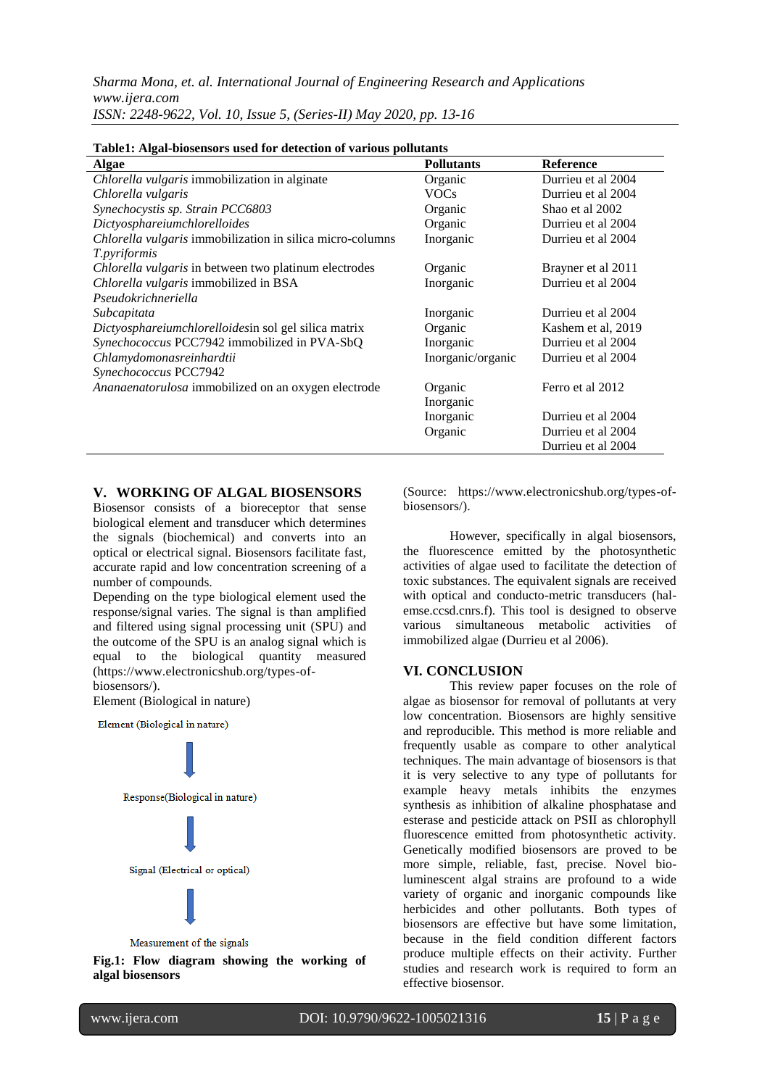*Sharma Mona, et. al. International Journal of Engineering Research and Applications www.ijera.com ISSN: 2248-9622, Vol. 10, Issue 5, (Series-II) May 2020, pp. 13-16*

| Table1: Algal-biosensors used for detection of various pollutants |                    |  |
|-------------------------------------------------------------------|--------------------|--|
| <b>Pollutants</b>                                                 | <b>Reference</b>   |  |
| Organic                                                           | Durrieu et al 2004 |  |
| <b>VOCs</b>                                                       | Durrieu et al 2004 |  |
| Organic                                                           | Shao et al 2002    |  |
| Organic                                                           | Durrieu et al 2004 |  |
| Inorganic                                                         | Durrieu et al 2004 |  |
|                                                                   |                    |  |
| Organic                                                           | Brayner et al 2011 |  |
| Inorganic                                                         | Durrieu et al 2004 |  |
|                                                                   |                    |  |
| Inorganic                                                         | Durrieu et al 2004 |  |
| Organic                                                           | Kashem et al, 2019 |  |
| Inorganic                                                         | Durrieu et al 2004 |  |
| Inorganic/organic                                                 | Durrieu et al 2004 |  |
|                                                                   |                    |  |
| Organic                                                           | Ferro et al 2012   |  |
| Inorganic                                                         |                    |  |
| Inorganic                                                         | Durrieu et al 2004 |  |
| Organic                                                           | Durrieu et al 2004 |  |
|                                                                   |                    |  |

#### **Table1: Algal-biosensors used for detection of various pollutants**

#### **V. WORKING OF ALGAL BIOSENSORS**

Biosensor consists of a bioreceptor that sense biological element and transducer which determines the signals (biochemical) and converts into an optical or electrical signal. Biosensors facilitate fast, accurate rapid and low concentration screening of a number of compounds.

Depending on the type biological element used the response/signal varies. The signal is than amplified and filtered using signal processing unit (SPU) and the outcome of the SPU is an analog signal which is equal to the biological quantity measured [\(https://www.electronicshub.org/types-of](https://www.electronicshub.org/types-of-biosensors/)[biosensors/\)](https://www.electronicshub.org/types-of-biosensors/).

Element (Biological in nature)

Element (Biological in nature)



**Fig.1: Flow diagram showing the working of algal biosensors**

(Source: [https://www.electronicshub.org/types-of](https://www.electronicshub.org/types-of-biosensors/)[biosensors/\)](https://www.electronicshub.org/types-of-biosensors/).

Durrieu et al 2004

However, specifically in algal biosensors, the fluorescence emitted by the photosynthetic activities of algae used to facilitate the detection of toxic substances. The equivalent signals are received with optical and conducto-metric transducers (halemse.ccsd.cnrs.f). This tool is designed to observe various simultaneous metabolic activities of immobilized algae (Durrieu et al 2006).

#### **VI. CONCLUSION**

This review paper focuses on the role of algae as biosensor for removal of pollutants at very low concentration. Biosensors are highly sensitive and reproducible. This method is more reliable and frequently usable as compare to other analytical techniques. The main advantage of biosensors is that it is very selective to any type of pollutants for example heavy metals inhibits the enzymes synthesis as inhibition of alkaline phosphatase and esterase and pesticide attack on PSII as chlorophyll fluorescence emitted from photosynthetic activity. Genetically modified biosensors are proved to be more simple, reliable, fast, precise. Novel bioluminescent algal strains are profound to a wide variety of organic and inorganic compounds like herbicides and other pollutants. Both types of biosensors are effective but have some limitation, because in the field condition different factors produce multiple effects on their activity. Further studies and research work is required to form an effective biosensor.